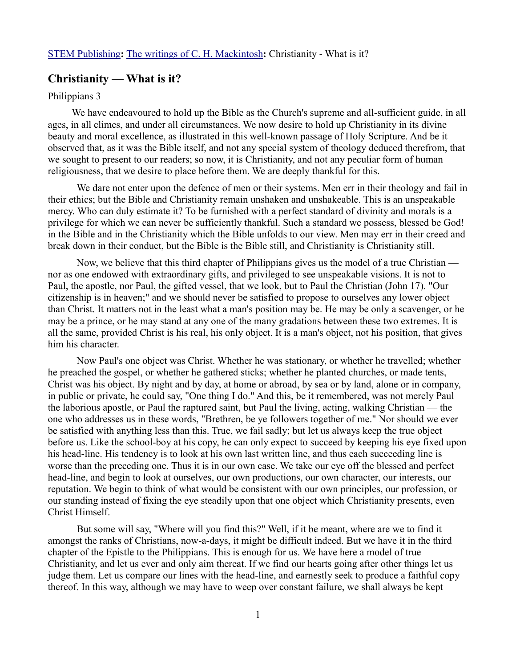## **Christianity — What is it?**

## Philippians 3

We have endeavoured to hold up the Bible as the Church's supreme and all-sufficient guide, in all ages, in all climes, and under all circumstances. We now desire to hold up Christianity in its divine beauty and moral excellence, as illustrated in this well-known passage of Holy Scripture. And be it observed that, as it was the Bible itself, and not any special system of theology deduced therefrom, that we sought to present to our readers; so now, it is Christianity, and not any peculiar form of human religiousness, that we desire to place before them. We are deeply thankful for this.

We dare not enter upon the defence of men or their systems. Men err in their theology and fail in their ethics; but the Bible and Christianity remain unshaken and unshakeable. This is an unspeakable mercy. Who can duly estimate it? To be furnished with a perfect standard of divinity and morals is a privilege for which we can never be sufficiently thankful. Such a standard we possess, blessed be God! in the Bible and in the Christianity which the Bible unfolds to our view. Men may err in their creed and break down in their conduct, but the Bible is the Bible still, and Christianity is Christianity still.

Now, we believe that this third chapter of Philippians gives us the model of a true Christian nor as one endowed with extraordinary gifts, and privileged to see unspeakable visions. It is not to Paul, the apostle, nor Paul, the gifted vessel, that we look, but to Paul the Christian (John 17). "Our citizenship is in heaven;" and we should never be satisfied to propose to ourselves any lower object than Christ. It matters not in the least what a man's position may be. He may be only a scavenger, or he may be a prince, or he may stand at any one of the many gradations between these two extremes. It is all the same, provided Christ is his real, his only object. It is a man's object, not his position, that gives him his character.

Now Paul's one object was Christ. Whether he was stationary, or whether he travelled; whether he preached the gospel, or whether he gathered sticks; whether he planted churches, or made tents, Christ was his object. By night and by day, at home or abroad, by sea or by land, alone or in company, in public or private, he could say, "One thing I do." And this, be it remembered, was not merely Paul the laborious apostle, or Paul the raptured saint, but Paul the living, acting, walking Christian — the one who addresses us in these words, "Brethren, be ye followers together of me." Nor should we ever be satisfied with anything less than this. True, we fail sadly; but let us always keep the true object before us. Like the school-boy at his copy, he can only expect to succeed by keeping his eye fixed upon his head-line. His tendency is to look at his own last written line, and thus each succeeding line is worse than the preceding one. Thus it is in our own case. We take our eye off the blessed and perfect head-line, and begin to look at ourselves, our own productions, our own character, our interests, our reputation. We begin to think of what would be consistent with our own principles, our profession, or our standing instead of fixing the eye steadily upon that one object which Christianity presents, even Christ Himself.

But some will say, "Where will you find this?" Well, if it be meant, where are we to find it amongst the ranks of Christians, now-a-days, it might be difficult indeed. But we have it in the third chapter of the Epistle to the Philippians. This is enough for us. We have here a model of true Christianity, and let us ever and only aim thereat. If we find our hearts going after other things let us judge them. Let us compare our lines with the head-line, and earnestly seek to produce a faithful copy thereof. In this way, although we may have to weep over constant failure, we shall always be kept